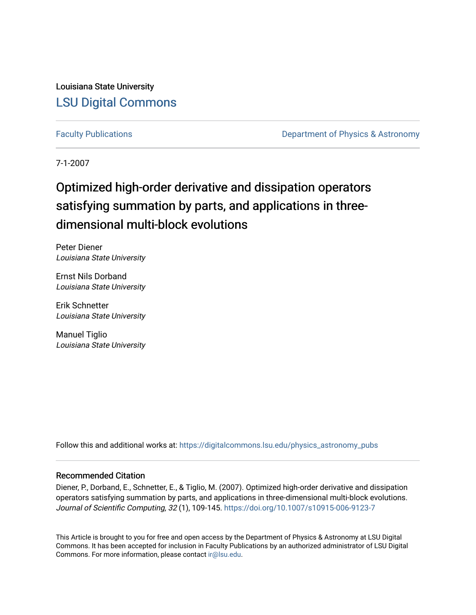Louisiana State University [LSU Digital Commons](https://digitalcommons.lsu.edu/)

[Faculty Publications](https://digitalcommons.lsu.edu/physics_astronomy_pubs) **Exercise 2 and Table 2 and Table 2 and Table 2 and Table 2 and Table 2 and Table 2 and Table 2 and Table 2 and Table 2 and Table 2 and Table 2 and Table 2 and Table 2 and Table 2 and Table 2 and Table** 

7-1-2007

# Optimized high-order derivative and dissipation operators satisfying summation by parts, and applications in threedimensional multi-block evolutions

Peter Diener Louisiana State University

Ernst Nils Dorband Louisiana State University

Erik Schnetter Louisiana State University

Manuel Tiglio Louisiana State University

Follow this and additional works at: [https://digitalcommons.lsu.edu/physics\\_astronomy\\_pubs](https://digitalcommons.lsu.edu/physics_astronomy_pubs?utm_source=digitalcommons.lsu.edu%2Fphysics_astronomy_pubs%2F1451&utm_medium=PDF&utm_campaign=PDFCoverPages) 

# Recommended Citation

Diener, P., Dorband, E., Schnetter, E., & Tiglio, M. (2007). Optimized high-order derivative and dissipation operators satisfying summation by parts, and applications in three-dimensional multi-block evolutions. Journal of Scientific Computing, 32 (1), 109-145. <https://doi.org/10.1007/s10915-006-9123-7>

This Article is brought to you for free and open access by the Department of Physics & Astronomy at LSU Digital Commons. It has been accepted for inclusion in Faculty Publications by an authorized administrator of LSU Digital Commons. For more information, please contact [ir@lsu.edu](mailto:ir@lsu.edu).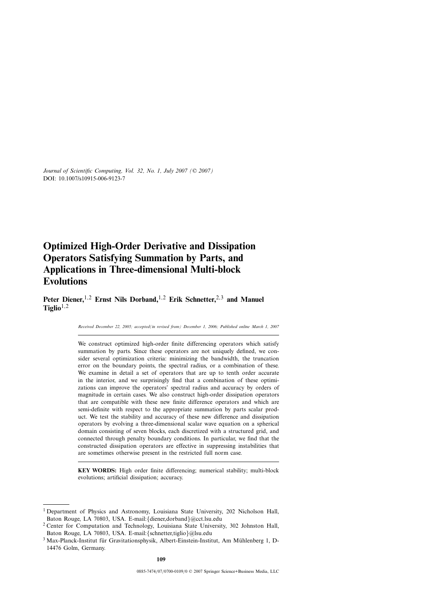# **Optimized High-Order Derivative and Dissipation Operators Satisfying Summation by Parts, and Applications in Three-dimensional Multi-block Evolutions**

**Peter Diener,**1*,*<sup>2</sup> **Ernst Nils Dorband,**1*,*<sup>2</sup> **Erik Schnetter,**2*,*<sup>3</sup> **and Manuel**  $Tiglio<sup>1,2</sup>$ 

*Received December 22, 2005; accepted(in revised from) December 1, 2006; Published online March 1, 2007*

We construct optimized high-order finite differencing operators which satisfy summation by parts. Since these operators are not uniquely defined, we consider several optimization criteria: minimizing the bandwidth, the truncation error on the boundary points, the spectral radius, or a combination of these. We examine in detail a set of operators that are up to tenth order accurate in the interior, and we surprisingly find that a combination of these optimizations can improve the operators' spectral radius and accuracy by orders of magnitude in certain cases. We also construct high-order dissipation operators that are compatible with these new finite difference operators and which are semi-definite with respect to the appropriate summation by parts scalar product. We test the stability and accuracy of these new difference and dissipation operators by evolving a three-dimensional scalar wave equation on a spherical domain consisting of seven blocks, each discretized with a structured grid, and connected through penalty boundary conditions. In particular, we find that the constructed dissipation operators are effective in suppressing instabilities that are sometimes otherwise present in the restricted full norm case.

**KEY WORDS:** High order finite differencing; numerical stability; multi-block evolutions; artificial dissipation; accuracy.

<sup>1</sup> Department of Physics and Astronomy, Louisiana State University, 202 Nicholson Hall, Baton Rouge, LA 70803, USA. E-mail:{diener,dorband}@cct.lsu.edu

<sup>2</sup> Center for Computation and Technology, Louisiana State University, 302 Johnston Hall, Baton Rouge, LA 70803, USA. E-mail:{schnetter,tiglio}@lsu.edu

<sup>3</sup> Max-Planck-Institut für Gravitationsphysik, Albert-Einstein-Institut, Am Mühlenberg 1, D-14476 Golm, Germany.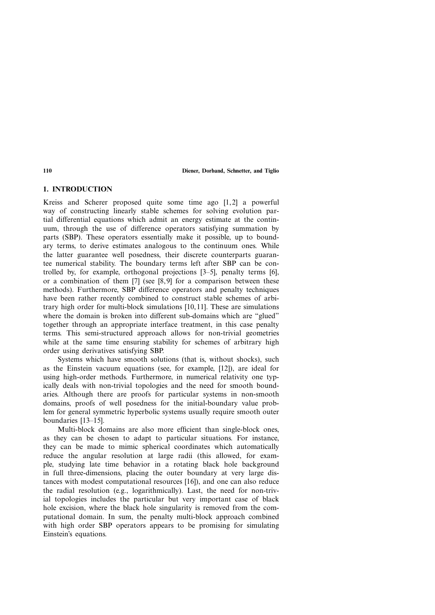# **1. INTRODUCTION**

Kreiss and Scherer proposed quite some time ago [1,2] a powerful way of constructing linearly stable schemes for solving evolution partial differential equations which admit an energy estimate at the continuum, through the use of difference operators satisfying summation by parts (SBP). These operators essentially make it possible, up to boundary terms, to derive estimates analogous to the continuum ones. While the latter guarantee well posedness, their discrete counterparts guarantee numerical stability. The boundary terms left after SBP can be controlled by, for example, orthogonal projections [3–5], penalty terms [6], or a combination of them [7] (see [8, 9] for a comparison between these methods). Furthermore, SBP difference operators and penalty techniques have been rather recently combined to construct stable schemes of arbitrary high order for multi-block simulations [10, 11]. These are simulations where the domain is broken into different sub-domains which are "glued" together through an appropriate interface treatment, in this case penalty terms. This semi-structured approach allows for non-trivial geometries while at the same time ensuring stability for schemes of arbitrary high order using derivatives satisfying SBP.

Systems which have smooth solutions (that is, without shocks), such as the Einstein vacuum equations (see, for example, [12]), are ideal for using high-order methods. Furthermore, in numerical relativity one typically deals with non-trivial topologies and the need for smooth boundaries. Although there are proofs for particular systems in non-smooth domains, proofs of well posedness for the initial-boundary value problem for general symmetric hyperbolic systems usually require smooth outer boundaries [13–15].

Multi-block domains are also more efficient than single-block ones, as they can be chosen to adapt to particular situations. For instance, they can be made to mimic spherical coordinates which automatically reduce the angular resolution at large radii (this allowed, for example, studying late time behavior in a rotating black hole background in full three-dimensions, placing the outer boundary at very large distances with modest computational resources [16]), and one can also reduce the radial resolution (e.g., logarithmically). Last, the need for non-trivial topologies includes the particular but very important case of black hole excision, where the black hole singularity is removed from the computational domain. In sum, the penalty multi-block approach combined with high order SBP operators appears to be promising for simulating Einstein's equations.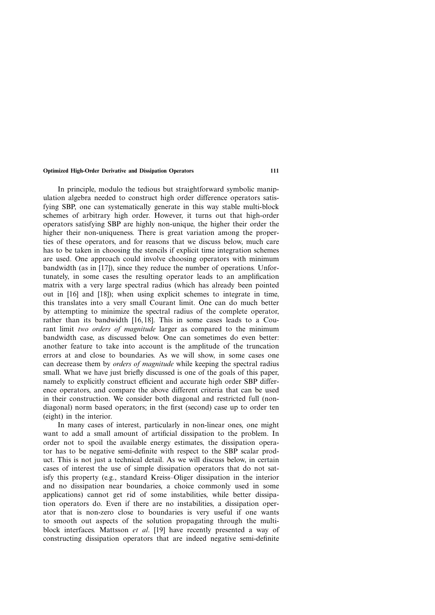In principle, modulo the tedious but straightforward symbolic manipulation algebra needed to construct high order difference operators satisfying SBP, one can systematically generate in this way stable multi-block schemes of arbitrary high order. However, it turns out that high-order operators satisfying SBP are highly non-unique, the higher their order the

higher their non-uniqueness. There is great variation among the properties of these operators, and for reasons that we discuss below, much care has to be taken in choosing the stencils if explicit time integration schemes are used. One approach could involve choosing operators with minimum bandwidth (as in [17]), since they reduce the number of operations. Unfortunately, in some cases the resulting operator leads to an amplification matrix with a very large spectral radius (which has already been pointed out in [16] and [18]); when using explicit schemes to integrate in time, this translates into a very small Courant limit. One can do much better by attempting to minimize the spectral radius of the complete operator, rather than its bandwidth [16, 18]. This in some cases leads to a Courant limit *two orders of magnitude* larger as compared to the minimum bandwidth case, as discussed below. One can sometimes do even better: another feature to take into account is the amplitude of the truncation errors at and close to boundaries. As we will show, in some cases one can decrease them by *orders of magnitude* while keeping the spectral radius small. What we have just briefly discussed is one of the goals of this paper, namely to explicitly construct efficient and accurate high order SBP difference operators, and compare the above different criteria that can be used in their construction. We consider both diagonal and restricted full (nondiagonal) norm based operators; in the first (second) case up to order ten (eight) in the interior.

In many cases of interest, particularly in non-linear ones, one might want to add a small amount of artificial dissipation to the problem. In order not to spoil the available energy estimates, the dissipation operator has to be negative semi-definite with respect to the SBP scalar product. This is not just a technical detail. As we will discuss below, in certain cases of interest the use of simple dissipation operators that do not satisfy this property (e.g., standard Kreiss–Oliger dissipation in the interior and no dissipation near boundaries, a choice commonly used in some applications) cannot get rid of some instabilities, while better dissipation operators do. Even if there are no instabilities, a dissipation operator that is non-zero close to boundaries is very useful if one wants to smooth out aspects of the solution propagating through the multiblock interfaces. Mattsson *et al*. [19] have recently presented a way of constructing dissipation operators that are indeed negative semi-definite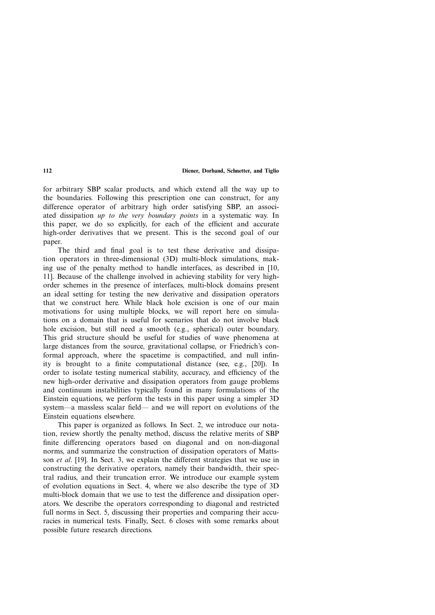for arbitrary SBP scalar products, and which extend all the way up to the boundaries. Following this prescription one can construct, for any difference operator of arbitrary high order satisfying SBP, an associated dissipation *up to the very boundary points* in a systematic way. In this paper, we do so explicitly, for each of the efficient and accurate high-order derivatives that we present. This is the second goal of our paper.

The third and final goal is to test these derivative and dissipation operators in three-dimensional (3D) multi-block simulations, making use of the penalty method to handle interfaces, as described in [10, 11]. Because of the challenge involved in achieving stability for very highorder schemes in the presence of interfaces, multi-block domains present an ideal setting for testing the new derivative and dissipation operators that we construct here. While black hole excision is one of our main motivations for using multiple blocks, we will report here on simulations on a domain that is useful for scenarios that do not involve black hole excision, but still need a smooth (e.g., spherical) outer boundary. This grid structure should be useful for studies of wave phenomena at large distances from the source, gravitational collapse, or Friedrich's conformal approach, where the spacetime is compactified, and null infinity is brought to a finite computational distance (see, e.g., [20]). In order to isolate testing numerical stability, accuracy, and efficiency of the new high-order derivative and dissipation operators from gauge problems and continuum instabilities typically found in many formulations of the Einstein equations, we perform the tests in this paper using a simpler 3D system—a massless scalar field— and we will report on evolutions of the Einstein equations elsewhere.

This paper is organized as follows. In Sect. 2, we introduce our notation, review shortly the penalty method, discuss the relative merits of SBP finite differencing operators based on diagonal and on non-diagonal norms, and summarize the construction of dissipation operators of Mattsson *et al*. [19]. In Sect. 3, we explain the different strategies that we use in constructing the derivative operators, namely their bandwidth, their spectral radius, and their truncation error. We introduce our example system of evolution equations in Sect. 4, where we also describe the type of 3D multi-block domain that we use to test the difference and dissipation operators. We describe the operators corresponding to diagonal and restricted full norms in Sect. 5, discussing their properties and comparing their accuracies in numerical tests. Finally, Sect. 6 closes with some remarks about possible future research directions.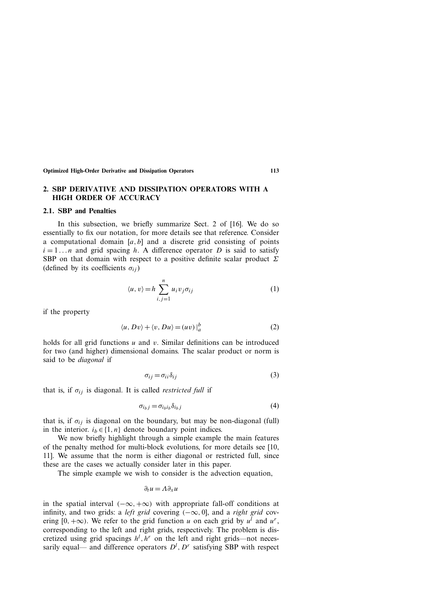# **2. SBP DERIVATIVE AND DISSIPATION OPERATORS WITH A HIGH ORDER OF ACCURACY**

#### **2.1. SBP and Penalties**

In this subsection, we briefly summarize Sect. 2 of [16]. We do so essentially to fix our notation, for more details see that reference. Consider a computational domain [*a,b*] and a discrete grid consisting of points  $i = 1...n$  and grid spacing *h*. A difference operator *D* is said to satisfy SBP on that domain with respect to a positive definite scalar product *Σ* (defined by its coefficients  $\sigma_{ij}$ )

$$
\langle u, v \rangle = h \sum_{i, j=1}^{n} u_i v_j \sigma_{ij}
$$
 (1)

if the property

$$
\langle u, Dv \rangle + \langle v, Du \rangle = (uv) \big|_{a}^{b} \tag{2}
$$

holds for all grid functions *u* and *v*. Similar definitions can be introduced for two (and higher) dimensional domains. The scalar product or norm is said to be *diagonal* if

$$
\sigma_{ij} = \sigma_{ii} \delta_{ij} \tag{3}
$$

that is, if  $\sigma_{ij}$  is diagonal. It is called *restricted full* if

$$
\sigma_{i_b j} = \sigma_{i_b i_b} \delta_{i_b j} \tag{4}
$$

that is, if  $\sigma_{ij}$  is diagonal on the boundary, but may be non-diagonal (full) in the interior.  $i_b \in \{1, n\}$  denote boundary point indices.

We now briefly highlight through a simple example the main features of the penalty method for multi-block evolutions, for more details see [10, 11]. We assume that the norm is either diagonal or restricted full, since these are the cases we actually consider later in this paper.

The simple example we wish to consider is the advection equation,

$$
\partial_t u = \Lambda \partial_x u
$$

in the spatial interval  $(-\infty, +\infty)$  with appropriate fall-off conditions at infinity, and two grids: a *left grid* covering  $(-\infty, 0]$ , and a *right grid* covering [0, + $\infty$ ). We refer to the grid function *u* on each grid by  $u^l$  and  $u^r$ , corresponding to the left and right grids, respectively. The problem is discretized using grid spacings  $h^l$ ,  $h^r$  on the left and right grids—not necessarily equal— and difference operators  $D^l$ ,  $D^r$  satisfying SBP with respect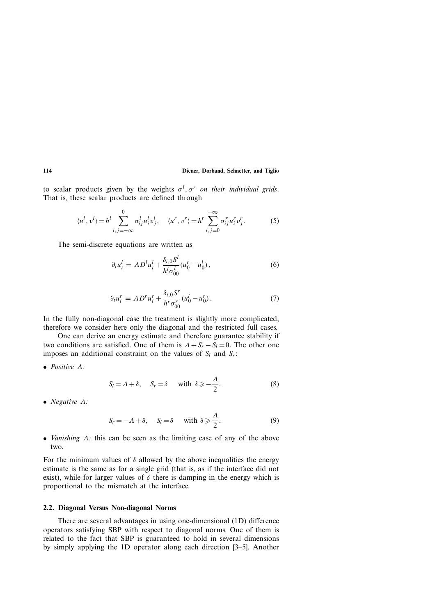to scalar products given by the weights *σ<sup>l</sup> , σ<sup>r</sup> on their individual grids*. That is, these scalar products are defined through

$$
\langle u^l, v^l \rangle = h^l \sum_{i,j=-\infty}^0 \sigma_{ij}^l u_i^l v_j^l, \quad \langle u^r, v^r \rangle = h^r \sum_{i,j=0}^{+\infty} \sigma_{ij}^r u_i^r v_j^r. \tag{5}
$$

The semi-discrete equations are written as

$$
\partial_t u_i^l = A D^l u_i^l + \frac{\delta_{i,0} S^l}{h^l \sigma_{00}^l} (u_0^r - u_0^l) , \qquad (6)
$$

$$
\partial_t u_i^r = A D^r u_i^r + \frac{\delta_{i,0} S^r}{h^r \sigma_{00}^r} (u_0^l - u_0^r).
$$
 (7)

In the fully non-diagonal case the treatment is slightly more complicated, therefore we consider here only the diagonal and the restricted full cases.

One can derive an energy estimate and therefore guarantee stability if two conditions are satisfied. One of them is  $A + S_r - S_l = 0$ . The other one imposes an additional constraint on the values of  $S_l$  and  $S_r$ :

• *Positive Λ:*

$$
S_l = \Lambda + \delta, \quad S_r = \delta \quad \text{with } \delta \geqslant -\frac{\Lambda}{2}.
$$
 (8)

• *Negative Λ:*

$$
S_r = -\Lambda + \delta, \quad S_l = \delta \quad \text{with } \delta \geqslant \frac{\Lambda}{2}.
$$
 (9)

• *Vanishing Λ:* this can be seen as the limiting case of any of the above two.

For the minimum values of  $\delta$  allowed by the above inequalities the energy estimate is the same as for a single grid (that is, as if the interface did not exist), while for larger values of  $\delta$  there is damping in the energy which is proportional to the mismatch at the interface.

#### **2.2. Diagonal Versus Non-diagonal Norms**

There are several advantages in using one-dimensional (1D) difference operators satisfying SBP with respect to diagonal norms. One of them is related to the fact that SBP is guaranteed to hold in several dimensions by simply applying the 1D operator along each direction [3–5]. Another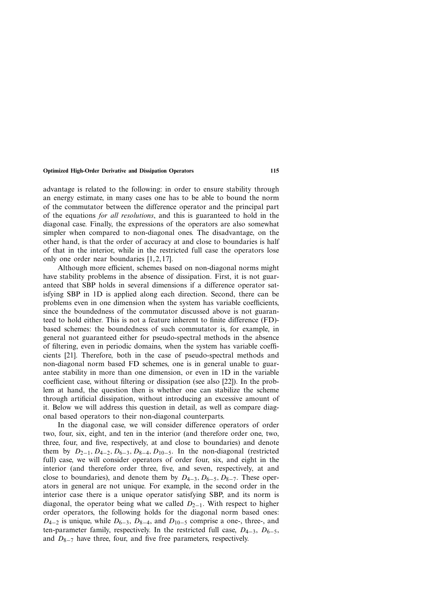advantage is related to the following: in order to ensure stability through an energy estimate, in many cases one has to be able to bound the norm of the commutator between the difference operator and the principal part of the equations *for all resolutions*, and this is guaranteed to hold in the diagonal case. Finally, the expressions of the operators are also somewhat simpler when compared to non-diagonal ones. The disadvantage, on the other hand, is that the order of accuracy at and close to boundaries is half of that in the interior, while in the restricted full case the operators lose only one order near boundaries [1, 2, 17].

Although more efficient, schemes based on non-diagonal norms might have stability problems in the absence of dissipation. First, it is not guaranteed that SBP holds in several dimensions if a difference operator satisfying SBP in 1D is applied along each direction. Second, there can be problems even in one dimension when the system has variable coefficients, since the boundedness of the commutator discussed above is not guaranteed to hold either. This is not a feature inherent to finite difference (FD) based schemes: the boundedness of such commutator is, for example, in general not guaranteed either for pseudo-spectral methods in the absence of filtering, even in periodic domains, when the system has variable coefficients [21]. Therefore, both in the case of pseudo-spectral methods and non-diagonal norm based FD schemes, one is in general unable to guarantee stability in more than one dimension, or even in 1D in the variable coefficient case, without filtering or dissipation (see also [22]). In the problem at hand, the question then is whether one can stabilize the scheme through artificial dissipation, without introducing an excessive amount of it. Below we will address this question in detail, as well as compare diagonal based operators to their non-diagonal counterparts.

In the diagonal case, we will consider difference operators of order two, four, six, eight, and ten in the interior (and therefore order one, two, three, four, and five, respectively, at and close to boundaries) and denote them by  $D_{2-1}$ ,  $D_{4-2}$ ,  $D_{6-3}$ ,  $D_{8-4}$ ,  $D_{10-5}$ . In the non-diagonal (restricted full) case, we will consider operators of order four, six, and eight in the interior (and therefore order three, five, and seven, respectively, at and close to boundaries), and denote them by *D*4−3*, D*6−5*, D*8<sup>−</sup>7. These operators in general are not unique. For example, in the second order in the interior case there is a unique operator satisfying SBP, and its norm is diagonal, the operator being what we called *D*2<sup>−</sup>1. With respect to higher order operators, the following holds for the diagonal norm based ones: *D*<sub>4−2</sub> is unique, while *D*<sub>6−3</sub>, *D*<sub>8−4</sub>, and *D*<sub>10−5</sub> comprise a one-, three-, and ten-parameter family, respectively. In the restricted full case, *D*4<sup>−</sup>3, *D*6<sup>−</sup>5, and *D*8−<sup>7</sup> have three, four, and five free parameters, respectively.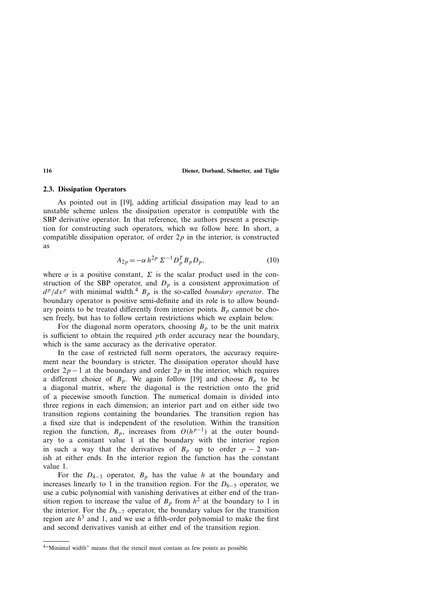#### **2.3. Dissipation Operators**

As pointed out in [19], adding artificial dissipation may lead to an unstable scheme unless the dissipation operator is compatible with the SBP derivative operator. In that reference, the authors present a prescription for constructing such operators, which we follow here. In short, a compatible dissipation operator, of order 2*p* in the interior, is constructed as

$$
A_{2p} = -\alpha h^{2p} \Sigma^{-1} D_p^T B_p D_p, \qquad (10)
$$

where  $\alpha$  is a positive constant,  $\Sigma$  is the scalar product used in the construction of the SBP operator, and  $D_p$  is a consistent approximation of  $d^p/dx^p$  with minimal width.<sup>4</sup>  $B_p$  is the so-called *boundary operator*. The boundary operator is positive semi-definite and its role is to allow boundary points to be treated differently from interior points.  $B_p$  cannot be chosen freely, but has to follow certain restrictions which we explain below.

For the diagonal norm operators, choosing  $B_p$  to be the unit matrix is sufficient to obtain the required *p*th order accuracy near the boundary, which is the same accuracy as the derivative operator.

In the case of restricted full norm operators, the accuracy requirement near the boundary is stricter. The dissipation operator should have order  $2p - 1$  at the boundary and order  $2p$  in the interior, which requires a different choice of  $B_p$ . We again follow [19] and choose  $B_p$  to be a diagonal matrix, where the diagonal is the restriction onto the grid of a piecewise smooth function. The numerical domain is divided into three regions in each dimension; an interior part and on either side two transition regions containing the boundaries. The transition region has a fixed size that is independent of the resolution. Within the transition region the function,  $B_p$ , increases from  $O(h^{p-1})$  at the outer boundary to a constant value 1 at the boundary with the interior region in such a way that the derivatives of  $B_p$  up to order  $p - 2$  vanish at either ends. In the interior region the function has the constant value 1.

For the  $D_{4-3}$  operator,  $B_p$  has the value *h* at the boundary and increases linearly to 1 in the transition region. For the  $D_{6-5}$  operator, we use a cubic polynomial with vanishing derivatives at either end of the transition region to increase the value of  $B_p$  from  $h^2$  at the boundary to 1 in the interior. For the *D*8−<sup>7</sup> operator, the boundary values for the transition region are  $h<sup>3</sup>$  and 1, and we use a fifth-order polynomial to make the first and second derivatives vanish at either end of the transition region.

<sup>4&</sup>quot;Minimal width" means that the stencil must contain as few points as possible.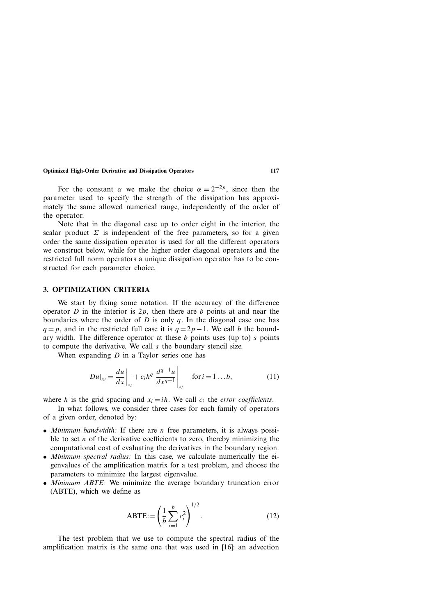For the constant  $\alpha$  we make the choice  $\alpha = 2^{-2p}$ , since then the parameter used to specify the strength of the dissipation has approximately the same allowed numerical range, independently of the order of the operator.

Note that in the diagonal case up to order eight in the interior, the scalar product  $\Sigma$  is independent of the free parameters, so for a given order the same dissipation operator is used for all the different operators we construct below, while for the higher order diagonal operators and the restricted full norm operators a unique dissipation operator has to be constructed for each parameter choice.

#### **3. OPTIMIZATION CRITERIA**

We start by fixing some notation. If the accuracy of the difference operator *D* in the interior is 2*p*, then there are *b* points at and near the boundaries where the order of *D* is only *q*. In the diagonal case one has  $q = p$ , and in the restricted full case it is  $q = 2p - 1$ . We call *b* the boundary width. The difference operator at these *b* points uses (up to) *s* points to compute the derivative. We call *s* the boundary stencil size.

When expanding *D* in a Taylor series one has

$$
Du|_{x_i} = \frac{du}{dx}\bigg|_{x_i} + c_i h^q \left. \frac{d^{q+1}u}{dx^{q+1}} \right|_{x_i} \quad \text{for } i = 1...b,
$$
 (11)

where *h* is the grid spacing and  $x_i = ih$ . We call  $c_i$  the *error coefficients*.

In what follows, we consider three cases for each family of operators of a given order, denoted by:

- *Minimum bandwidth:* If there are *n* free parameters, it is always possible to set *n* of the derivative coefficients to zero, thereby minimizing the computational cost of evaluating the derivatives in the boundary region.
- *Minimum spectral radius:* In this case, we calculate numerically the eigenvalues of the amplification matrix for a test problem, and choose the parameters to minimize the largest eigenvalue.
- *Minimum ABTE:* We minimize the average boundary truncation error (ABTE), which we define as

ABTE := 
$$
\left(\frac{1}{b}\sum_{i=1}^{b} c_i^2\right)^{1/2}
$$
. (12)

The test problem that we use to compute the spectral radius of the amplification matrix is the same one that was used in [16]: an advection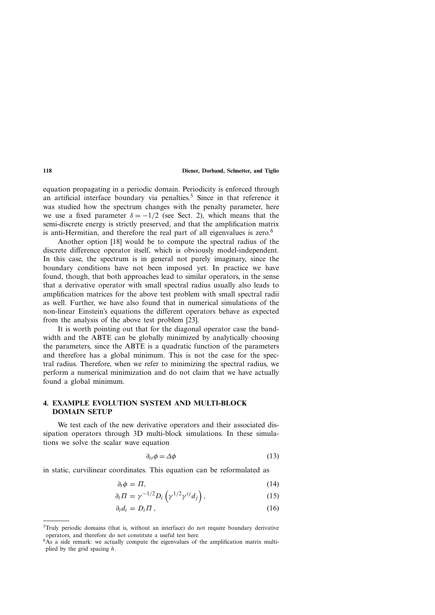equation propagating in a periodic domain. Periodicity is enforced through an artificial interface boundary via penalties.<sup>5</sup> Since in that reference it was studied how the spectrum changes with the penalty parameter, here we use a fixed parameter  $\delta = -1/2$  (see Sect. 2), which means that the semi-discrete energy is strictly preserved, and that the amplification matrix is anti-Hermitian, and therefore the real part of all eigenvalues is zero.<sup>6</sup>

Another option [18] would be to compute the spectral radius of the discrete difference operator itself, which is obviously model-independent. In this case, the spectrum is in general not purely imaginary, since the boundary conditions have not been imposed yet. In practice we have found, though, that both approaches lead to similar operators, in the sense that a derivative operator with small spectral radius usually also leads to amplification matrices for the above test problem with small spectral radii as well. Further, we have also found that in numerical simulations of the non-linear Einstein's equations the different operators behave as expected from the analysis of the above test problem [23].

It is worth pointing out that for the diagonal operator case the bandwidth and the ABTE can be globally minimized by analytically choosing the parameters, since the ABTE is a quadratic function of the parameters and therefore has a global minimum. This is not the case for the spectral radius. Therefore, when we refer to minimizing the spectral radius, we perform a numerical minimization and do not claim that we have actually found a global minimum.

# **4. EXAMPLE EVOLUTION SYSTEM AND MULTI-BLOCK DOMAIN SETUP**

We test each of the new derivative operators and their associated dissipation operators through 3D multi-block simulations. In these simulations we solve the scalar wave equation

$$
\partial_{tt}\phi = \Delta\phi \tag{13}
$$

in static, curvilinear coordinates. This equation can be reformulated as

$$
\partial_t \phi = \Pi,\tag{14}
$$

$$
\partial_t \Pi = \gamma^{-1/2} D_i \left( \gamma^{1/2} \gamma^{ij} d_j \right), \tag{15}
$$

$$
\partial_t d_i = D_i \Pi \,, \tag{16}
$$

<sup>5</sup>Truly periodic domains (that is, without an interface) do not require boundary derivative operators, and therefore do not constitute a useful test here.

 $6A_s$  a side remark: we actually compute the eigenvalues of the amplification matrix multiplied by the grid spacing *h*.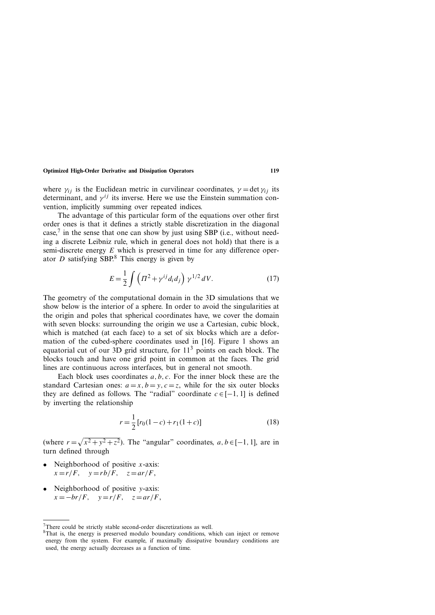where  $\gamma_{ij}$  is the Euclidean metric in curvilinear coordinates,  $\gamma = \det \gamma_{ij}$  its determinant, and  $\gamma^{ij}$  its inverse. Here we use the Einstein summation convention, implicitly summing over repeated indices.

The advantage of this particular form of the equations over other first order ones is that it defines a strictly stable discretization in the diagonal case, $\frac{7}{1}$  in the sense that one can show by just using SBP (i.e., without needing a discrete Leibniz rule, which in general does not hold) that there is a semi-discrete energy *E* which is preserved in time for any difference operator *D* satisfying SBP.<sup>8</sup> This energy is given by

$$
E = \frac{1}{2} \int \left( \Pi^2 + \gamma^{ij} d_i d_j \right) \gamma^{1/2} dV. \tag{17}
$$

The geometry of the computational domain in the 3D simulations that we show below is the interior of a sphere. In order to avoid the singularities at the origin and poles that spherical coordinates have, we cover the domain with seven blocks: surrounding the origin we use a Cartesian, cubic block, which is matched (at each face) to a set of six blocks which are a deformation of the cubed-sphere coordinates used in [16]. Figure 1 shows an equatorial cut of our 3D grid structure, for  $11<sup>3</sup>$  points on each block. The blocks touch and have one grid point in common at the faces. The grid lines are continuous across interfaces, but in general not smooth.

Each block uses coordinates *a, b, c*. For the inner block these are the standard Cartesian ones:  $a = x, b = y, c = z$ , while for the six outer blocks they are defined as follows. The "radial" coordinate  $c \in [-1, 1]$  is defined by inverting the relationship

$$
r = \frac{1}{2} [r_0(1-c) + r_1(1+c)] \tag{18}
$$

(where  $r = \sqrt{x^2 + y^2 + z^2}$ ). The "angular" coordinates,  $a, b \in [-1, 1]$ , are in turn defined through

- Neighborhood of positive *x*-axis:  $x = r/F$ ,  $y = rb/F$ ,  $z = ar/F$ ,
- Neighborhood of positive *y*-axis:  $x = -br/F$ ,  $y = r/F$ ,  $z = ar/F$ ,

<sup>7</sup>There could be strictly stable second-order discretizations as well.

<sup>8</sup>That is, the energy is preserved modulo boundary conditions, which can inject or remove energy from the system. For example, if maximally dissipative boundary conditions are used, the energy actually decreases as a function of time.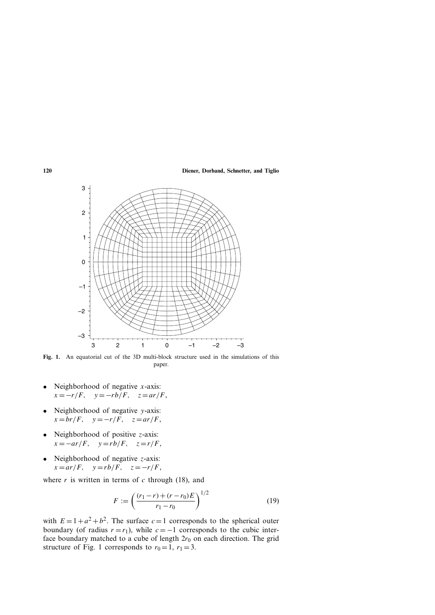

**Fig. 1.** An equatorial cut of the 3D multi-block structure used in the simulations of this paper.

- Neighborhood of negative *x*-axis:  $x = -r/F$ ,  $y = -rb/F$ ,  $z = ar/F$ ,
- Neighborhood of negative *y*-axis:  $x = br/F$ ,  $y = -r/F$ ,  $z = ar/F$ ,
- Neighborhood of positive *z*-axis:  $x = -ar/F$ ,  $y = rb/F$ ,  $z = r/F$ ,
- Neighborhood of negative *z*-axis:  $x = ar/F$ ,  $y = rb/F$ ,  $z = -r/F$ ,

where  $r$  is written in terms of  $c$  through (18), and

$$
F := \left(\frac{(r_1 - r) + (r - r_0)E}{r_1 - r_0}\right)^{1/2} \tag{19}
$$

with  $E = 1 + a^2 + b^2$ . The surface  $c = 1$  corresponds to the spherical outer boundary (of radius  $r = r_1$ ), while  $c = -1$  corresponds to the cubic interface boundary matched to a cube of length  $2r_0$  on each direction. The grid structure of Fig. 1 corresponds to  $r_0 = 1$ ,  $r_1 = 3$ .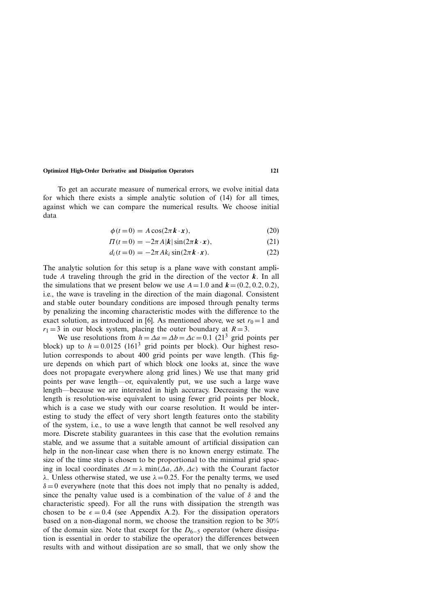To get an accurate measure of numerical errors, we evolve initial data for which there exists a simple analytic solution of (14) for all times, against which we can compare the numerical results. We choose initial data

$$
\phi(t=0) = A\cos(2\pi k \cdot x),\tag{20}
$$

$$
\Pi(t=0) = -2\pi A|\mathbf{k}|\sin(2\pi \mathbf{k} \cdot \mathbf{x}),\tag{21}
$$

$$
d_i(t=0) = -2\pi Ak_i \sin(2\pi \mathbf{k} \cdot \mathbf{x}).
$$
 (22)

The analytic solution for this setup is a plane wave with constant amplitude *A* traveling through the grid in the direction of the vector *k*. In all the simulations that we present below we use  $A = 1.0$  and  $\mathbf{k} = (0.2, 0.2, 0.2)$ , i.e., the wave is traveling in the direction of the main diagonal. Consistent and stable outer boundary conditions are imposed through penalty terms by penalizing the incoming characteristic modes with the difference to the exact solution, as introduced in [6]. As mentioned above, we set  $r_0 = 1$  and  $r_1 = 3$  in our block system, placing the outer boundary at  $R = 3$ .

We use resolutions from  $h = \Delta a = \Delta b = \Delta c = 0.1$  (21<sup>3</sup> grid points per block) up to  $h = 0.0125$  (161<sup>3</sup> grid points per block). Our highest resolution corresponds to about 400 grid points per wave length. (This figure depends on which part of which block one looks at, since the wave does not propagate everywhere along grid lines.) We use that many grid points per wave length—or, equivalently put, we use such a large wave length—because we are interested in high accuracy. Decreasing the wave length is resolution-wise equivalent to using fewer grid points per block, which is a case we study with our coarse resolution. It would be interesting to study the effect of very short length features onto the stability of the system, i.e., to use a wave length that cannot be well resolved any more. Discrete stability guarantees in this case that the evolution remains stable, and we assume that a suitable amount of artificial dissipation can help in the non-linear case when there is no known energy estimate. The size of the time step is chosen to be proportional to the minimal grid spacing in local coordinates  $\Delta t = \lambda \min(\Delta a, \Delta b, \Delta c)$  with the Courant factor *λ*. Unless otherwise stated, we use *λ*=0*.*25. For the penalty terms, we used  $\delta = 0$  everywhere (note that this does not imply that no penalty is added, since the penalty value used is a combination of the value of  $\delta$  and the characteristic speed). For all the runs with dissipation the strength was chosen to be  $\epsilon = 0.4$  (see Appendix A.2). For the dissipation operators based on a non-diagonal norm, we choose the transition region to be 30% of the domain size. Note that except for the *D*6−<sup>5</sup> operator (where dissipation is essential in order to stabilize the operator) the differences between results with and without dissipation are so small, that we only show the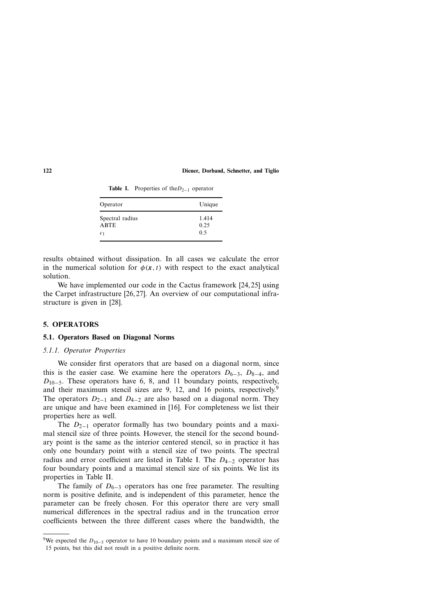| Operator                       | Unique        |
|--------------------------------|---------------|
| Spectral radius<br><b>ABTE</b> | 1.414<br>0.25 |
| C <sub>1</sub>                 | 0.5           |

Table I. Properties of the *D*<sub>2−1</sub> operator

results obtained without dissipation. In all cases we calculate the error in the numerical solution for  $\phi(x, t)$  with respect to the exact analytical solution.

We have implemented our code in the Cactus framework [24, 25] using the Carpet infrastructure [26, 27]. An overview of our computational infrastructure is given in [28].

#### **5. OPERATORS**

#### **5.1. Operators Based on Diagonal Norms**

#### *5.1.1. Operator Properties*

We consider first operators that are based on a diagonal norm, since this is the easier case. We examine here the operators  $D_{6-3}$ ,  $D_{8-4}$ , and *D*<sub>10−5</sub>. These operators have 6, 8, and 11 boundary points, respectively, and their maximum stencil sizes are 9, 12, and 16 points, respectively.<sup>9</sup> The operators  $D_{2-1}$  and  $D_{4-2}$  are also based on a diagonal norm. They are unique and have been examined in [16]. For completeness we list their properties here as well.

The *D*<sub>2−1</sub> operator formally has two boundary points and a maximal stencil size of three points. However, the stencil for the second boundary point is the same as the interior centered stencil, so in practice it has only one boundary point with a stencil size of two points. The spectral radius and error coefficient are listed in Table I. The *D*4−<sup>2</sup> operator has four boundary points and a maximal stencil size of six points. We list its properties in Table II.

The family of  $D_{6-3}$  operators has one free parameter. The resulting norm is positive definite, and is independent of this parameter, hence the parameter can be freely chosen. For this operator there are very small numerical differences in the spectral radius and in the truncation error coefficients between the three different cases where the bandwidth, the

<sup>&</sup>lt;sup>9</sup>We expected the *D*<sub>10−5</sub> operator to have 10 boundary points and a maximum stencil size of 15 points, but this did not result in a positive definite norm.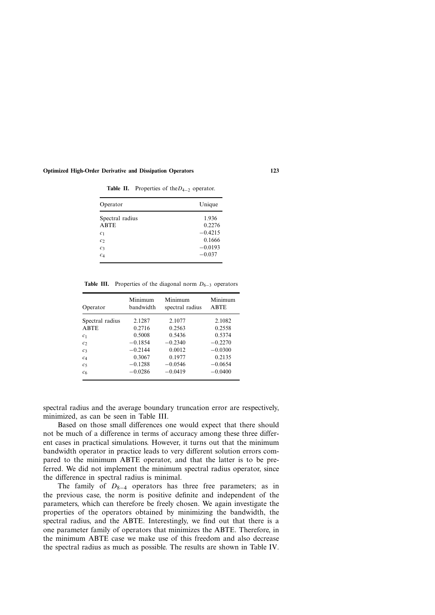| Operator                      | Unique              |
|-------------------------------|---------------------|
| Spectral radius               | 1.936               |
| <b>ABTE</b><br>c <sub>1</sub> | 0.2276<br>$-0.4215$ |
| c <sub>2</sub>                | 0.1666              |
| $c_3$                         | $-0.0193$           |
| c <sub>4</sub>                | $-0.037$            |

**Table II.** Properties of the*D*4−<sup>2</sup> operator.

**Table III.** Properties of the diagonal norm  $D_{6-3}$  operators

| Operator        | Minimum<br>bandwidth | Minimum<br>spectral radius | Minimum<br>ABTE |
|-----------------|----------------------|----------------------------|-----------------|
| Spectral radius | 2.1287               | 2.1077                     | 2.1082          |
| <b>ABTE</b>     | 0.2716               | 0.2563                     | 0.2558          |
| c <sub>1</sub>  | 0.5008               | 0.5436                     | 0.5374          |
| c <sub>2</sub>  | $-0.1854$            | $-0.2340$                  | $-0.2270$       |
| $C_3$           | $-0.2144$            | 0.0012                     | $-0.0300$       |
| C <sub>4</sub>  | 0.3067               | 0.1977                     | 0.2135          |
| c <sub>5</sub>  | $-0.1288$            | $-0.0546$                  | $-0.0654$       |
| c <sub>6</sub>  | $-0.0286$            | $-0.0419$                  | $-0.0400$       |

spectral radius and the average boundary truncation error are respectively, minimized, as can be seen in Table III.

Based on those small differences one would expect that there should not be much of a difference in terms of accuracy among these three different cases in practical simulations. However, it turns out that the minimum bandwidth operator in practice leads to very different solution errors compared to the minimum ABTE operator, and that the latter is to be preferred. We did not implement the minimum spectral radius operator, since the difference in spectral radius is minimal.

The family of *D*8−<sup>4</sup> operators has three free parameters; as in the previous case, the norm is positive definite and independent of the parameters, which can therefore be freely chosen. We again investigate the properties of the operators obtained by minimizing the bandwidth, the spectral radius, and the ABTE. Interestingly, we find out that there is a one parameter family of operators that minimizes the ABTE. Therefore, in the minimum ABTE case we make use of this freedom and also decrease the spectral radius as much as possible. The results are shown in Table IV.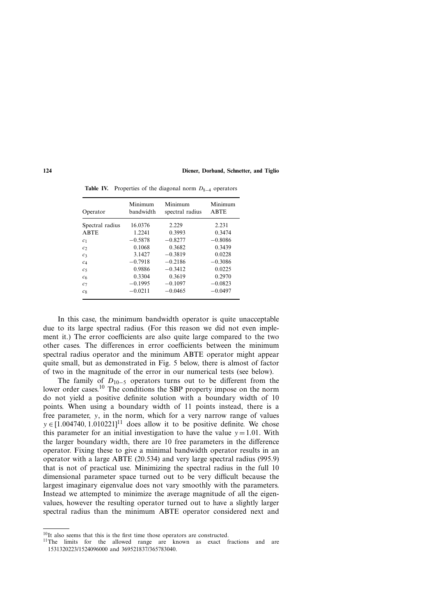| Operator        | Minimum<br>bandwidth | Minimum<br>spectral radius | Minimum<br><b>ABTE</b> |
|-----------------|----------------------|----------------------------|------------------------|
| Spectral radius | 16.0376              | 2.229                      | 2.231                  |
| <b>ABTE</b>     | 1.2241               | 0.3993                     | 0.3474                 |
| c <sub>1</sub>  | $-0.5878$            | $-0.8277$                  | $-0.8086$              |
| c <sub>2</sub>  | 0.1068               | 0.3682                     | 0.3439                 |
| $c_3$           | 3.1427               | $-0.3819$                  | 0.0228                 |
| C <sub>4</sub>  | $-0.7918$            | $-0.2186$                  | $-0.3086$              |
| c <sub>5</sub>  | 0.9886               | $-0.3412$                  | 0.0225                 |
| c <sub>6</sub>  | 0.3304               | 0.3619                     | 0.2970                 |
| c <sub>7</sub>  | $-0.1995$            | $-0.1097$                  | $-0.0823$              |
| $c_8$           | $-0.0211$            | $-0.0465$                  | $-0.0497$              |

**Table IV.** Properties of the diagonal norm  $D_{8-4}$  operators

In this case, the minimum bandwidth operator is quite unacceptable due to its large spectral radius. (For this reason we did not even implement it.) The error coefficients are also quite large compared to the two other cases. The differences in error coefficients between the minimum spectral radius operator and the minimum ABTE operator might appear quite small, but as demonstrated in Fig. 5 below, there is almost of factor of two in the magnitude of the error in our numerical tests (see below).

The family of *D*10−<sup>5</sup> operators turns out to be different from the lower order cases.<sup>10</sup> The conditions the SBP property impose on the norm do not yield a positive definite solution with a boundary width of 10 points. When using a boundary width of 11 points instead, there is a free parameter, *y*, in the norm, which for a very narrow range of values  $y \in [1.004740, 1.010221]$ <sup>11</sup> does allow it to be positive definite. We chose this parameter for an initial investigation to have the value  $y = 1.01$ . With the larger boundary width, there are 10 free parameters in the difference operator. Fixing these to give a minimal bandwidth operator results in an operator with a large ABTE (20.534) and very large spectral radius (995.9) that is not of practical use. Minimizing the spectral radius in the full 10 dimensional parameter space turned out to be very difficult because the largest imaginary eigenvalue does not vary smoothly with the parameters. Instead we attempted to minimize the average magnitude of all the eigenvalues, however the resulting operator turned out to have a slightly larger spectral radius than the minimum ABTE operator considered next and

 $10$ It also seems that this is the first time those operators are constructed.<br><sup>11</sup>The limits for the allowed range are known as exact fractions and are 1531320223/1524096000 and 369521837/365783040.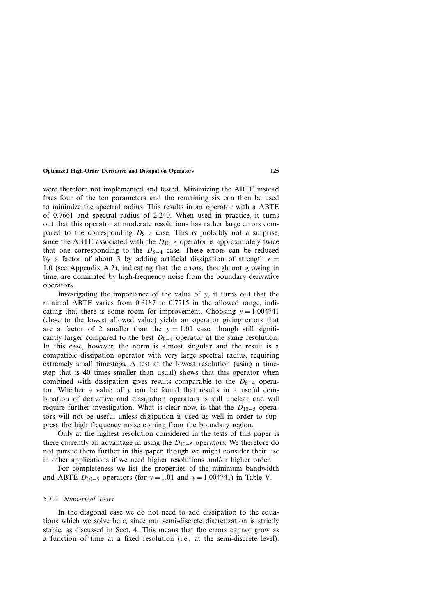were therefore not implemented and tested. Minimizing the ABTE instead fixes four of the ten parameters and the remaining six can then be used to minimize the spectral radius. This results in an operator with a ABTE of 0.7661 and spectral radius of 2.240. When used in practice, it turns out that this operator at moderate resolutions has rather large errors compared to the corresponding  $D_{8-4}$  case. This is probably not a surprise, since the ABTE associated with the *D*10−<sup>5</sup> operator is approximately twice that one corresponding to the *D*8−<sup>4</sup> case. These errors can be reduced by a factor of about 3 by adding artificial dissipation of strength  $\epsilon =$ 1*.*0 (see Appendix A.2), indicating that the errors, though not growing in time, are dominated by high-frequency noise from the boundary derivative operators.

Investigating the importance of the value of *y*, it turns out that the minimal ABTE varies from 0.6187 to 0.7715 in the allowed range, indicating that there is some room for improvement. Choosing  $y = 1.004741$ (close to the lowest allowed value) yields an operator giving errors that are a factor of 2 smaller than the  $y = 1.01$  case, though still significantly larger compared to the best  $D_{8-4}$  operator at the same resolution. In this case, however, the norm is almost singular and the result is a compatible dissipation operator with very large spectral radius, requiring extremely small timesteps. A test at the lowest resolution (using a timestep that is 40 times smaller than usual) shows that this operator when combined with dissipation gives results comparable to the *D*8−<sup>4</sup> operator. Whether a value of *y* can be found that results in a useful combination of derivative and dissipation operators is still unclear and will require further investigation. What is clear now, is that the  $D_{10-5}$  operators will not be useful unless dissipation is used as well in order to suppress the high frequency noise coming from the boundary region.

Only at the highest resolution considered in the tests of this paper is there currently an advantage in using the  $D_{10-5}$  operators. We therefore do not pursue them further in this paper, though we might consider their use in other applications if we need higher resolutions and/or higher order.

For completeness we list the properties of the minimum bandwidth and ABTE  $D_{10-5}$  operators (for  $y = 1.01$  and  $y = 1.004741$ ) in Table V.

#### *5.1.2. Numerical Tests*

In the diagonal case we do not need to add dissipation to the equations which we solve here, since our semi-discrete discretization is strictly stable, as discussed in Sect. 4. This means that the errors cannot grow as a function of time at a fixed resolution (i.e., at the semi-discrete level).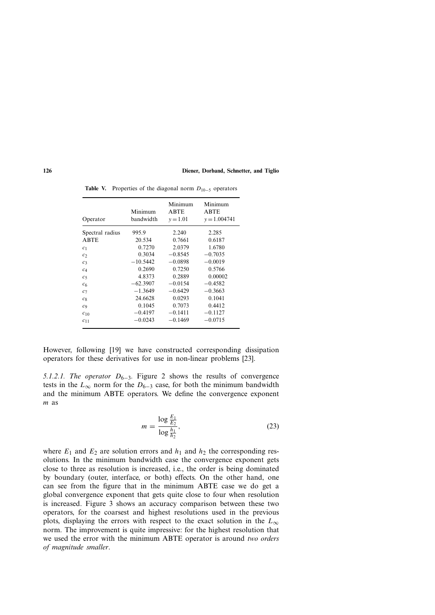| Operator        | Minimum<br>bandwidth | Minimum<br><b>ABTE</b><br>$v = 1.01$ | Minimum<br><b>ABTE</b><br>$v = 1.004741$ |
|-----------------|----------------------|--------------------------------------|------------------------------------------|
| Spectral radius | 995.9                | 2.240                                | 2.285                                    |
| <b>ABTE</b>     | 20.534               | 0.7661                               | 0.6187                                   |
| c <sub>1</sub>  | 0.7270               | 2.0379                               | 1.6780                                   |
| $\mathcal{C}$   | 0.3034               | $-0.8545$                            | $-0.7035$                                |
| C <sub>3</sub>  | $-10.5442$           | $-0.0898$                            | $-0.0019$                                |
| C <sub>4</sub>  | 0.2690               | 0.7250                               | 0.5766                                   |
| c <sub>5</sub>  | 4.8373               | 0.2889                               | 0.00002                                  |
| c <sub>6</sub>  | $-62.3907$           | $-0.0154$                            | $-0.4582$                                |
| $c_7$           | $-1.3649$            | $-0.6429$                            | $-0.3663$                                |
| $c_8$           | 24.6628              | 0.0293                               | 0.1041                                   |
| C <sub>9</sub>  | 0.1045               | 0.7073                               | 0.4412                                   |
| $C_{10}$        | $-0.4197$            | $-0.1411$                            | $-0.1127$                                |
| $c_{11}$        | $-0.0243$            | $-0.1469$                            | $-0.0715$                                |

**Table V.** Properties of the diagonal norm *D*10−<sup>5</sup> operators

However, following [19] we have constructed corresponding dissipation operators for these derivatives for use in non-linear problems [23].

*5.1.2.1. The operator D*<sub>6−3</sub>. Figure 2 shows the results of convergence tests in the  $L_{\infty}$  norm for the  $D_{6-3}$  case, for both the minimum bandwidth and the minimum ABTE operators. We define the convergence exponent *m* as

$$
m = \frac{\log \frac{E_1}{E_2}}{\log \frac{h_1}{h_2}},
$$
\n(23)

where  $E_1$  and  $E_2$  are solution errors and  $h_1$  and  $h_2$  the corresponding resolutions. In the minimum bandwidth case the convergence exponent gets close to three as resolution is increased, i.e., the order is being dominated by boundary (outer, interface, or both) effects. On the other hand, one can see from the figure that in the minimum ABTE case we do get a global convergence exponent that gets quite close to four when resolution is increased. Figure 3 shows an accuracy comparison between these two operators, for the coarsest and highest resolutions used in the previous plots, displaying the errors with respect to the exact solution in the  $L_{\infty}$ norm. The improvement is quite impressive: for the highest resolution that we used the error with the minimum ABTE operator is around *two orders of magnitude smaller*.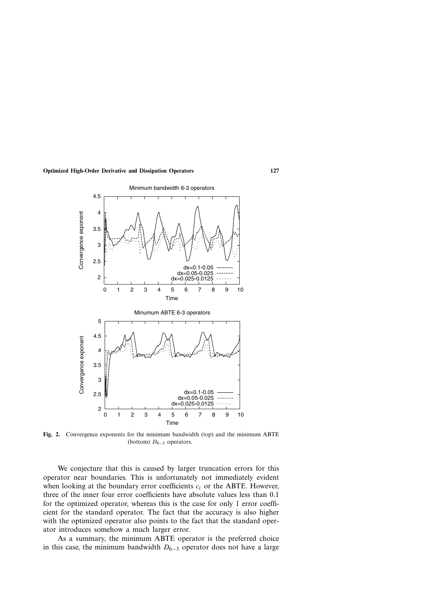

**Fig. 2.** Convergence exponents for the minimum bandwidth (top) and the minimum ABTE (bottom) *D*6−<sup>3</sup> operators.

We conjecture that this is caused by larger truncation errors for this operator near boundaries. This is unfortunately not immediately evident when looking at the boundary error coefficients *ci* or the ABTE. However, three of the inner four error coefficients have absolute values less than 0*.*1 for the optimized operator, whereas this is the case for only 1 error coefficient for the standard operator. The fact that the accuracy is also higher with the optimized operator also points to the fact that the standard operator introduces somehow a much larger error.

As a summary, the minimum ABTE operator is the preferred choice in this case, the minimum bandwidth  $D_{6-3}$  operator does not have a large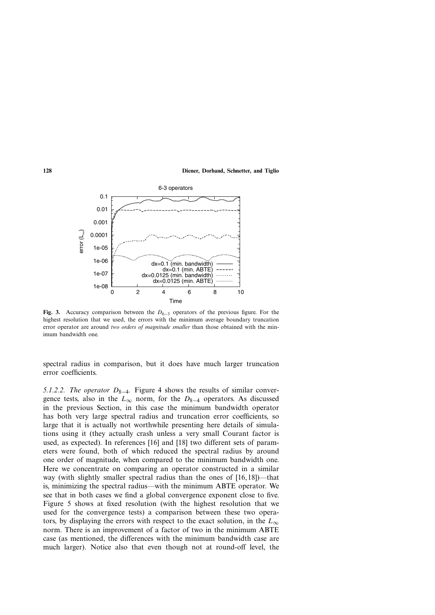

**Fig. 3.** Accuracy comparison between the *D*6−<sup>3</sup> operators of the previous figure. For the highest resolution that we used, the errors with the minimum average boundary truncation error operator are around *two orders of magnitude smaller* than those obtained with the minimum bandwidth one.

spectral radius in comparison, but it does have much larger truncation error coefficients.

*5.1.2.2. The operator D*<sub>8−4</sub>. Figure 4 shows the results of similar convergence tests, also in the  $L_{\infty}$  norm, for the  $D_{8-4}$  operators. As discussed in the previous Section, in this case the minimum bandwidth operator has both very large spectral radius and truncation error coefficients, so large that it is actually not worthwhile presenting here details of simulations using it (they actually crash unless a very small Courant factor is used, as expected). In references [16] and [18] two different sets of parameters were found, both of which reduced the spectral radius by around one order of magnitude, when compared to the minimum bandwidth one. Here we concentrate on comparing an operator constructed in a similar way (with slightly smaller spectral radius than the ones of [16, 18])—that is, minimizing the spectral radius—with the minimum ABTE operator. We see that in both cases we find a global convergence exponent close to five. Figure 5 shows at fixed resolution (with the highest resolution that we used for the convergence tests) a comparison between these two operators, by displaying the errors with respect to the exact solution, in the  $L_{\infty}$ norm. There is an improvement of a factor of two in the minimum ABTE case (as mentioned, the differences with the minimum bandwidth case are much larger). Notice also that even though not at round-off level, the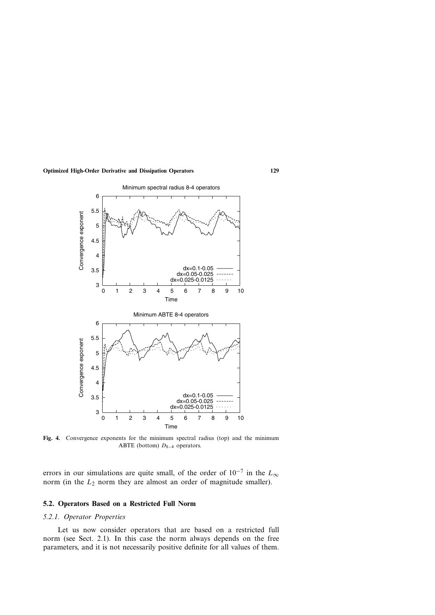

**Fig. 4.** Convergence exponents for the minimum spectral radius (top) and the minimum ABTE (bottom) *D*8−<sup>4</sup> operators.

errors in our simulations are quite small, of the order of 10−<sup>7</sup> in the *L*<sup>∞</sup> norm (in the  $L_2$  norm they are almost an order of magnitude smaller).

#### **5.2. Operators Based on a Restricted Full Norm**

# *5.2.1. Operator Properties*

Let us now consider operators that are based on a restricted full norm (see Sect. 2.1). In this case the norm always depends on the free parameters, and it is not necessarily positive definite for all values of them.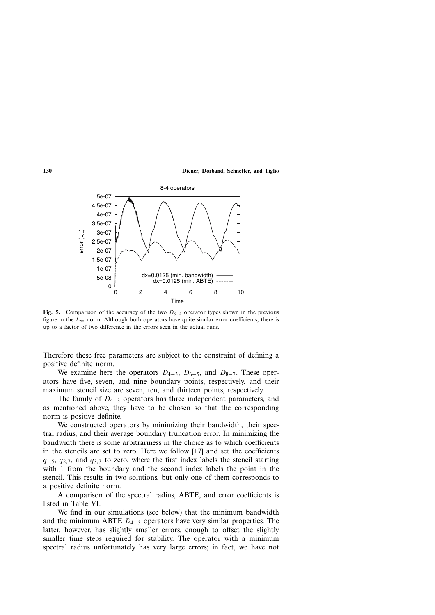

**Fig. 5.** Comparison of the accuracy of the two *D*8−<sup>4</sup> operator types shown in the previous figure in the  $L_{\infty}$  norm. Although both operators have quite similar error coefficients, there is up to a factor of two difference in the errors seen in the actual runs.

Therefore these free parameters are subject to the constraint of defining a positive definite norm.

We examine here the operators *D*4<sup>−</sup>3, *D*6<sup>−</sup>5, and *D*8<sup>−</sup>7. These operators have five, seven, and nine boundary points, respectively, and their maximum stencil size are seven, ten, and thirteen points, respectively.

The family of *D*4−<sup>3</sup> operators has three independent parameters, and as mentioned above, they have to be chosen so that the corresponding norm is positive definite.

We constructed operators by minimizing their bandwidth, their spectral radius, and their average boundary truncation error. In minimizing the bandwidth there is some arbitrariness in the choice as to which coefficients in the stencils are set to zero. Here we follow [17] and set the coefficients  $q_{1,5}$ ,  $q_{2,7}$ , and  $q_{3,7}$  to zero, where the first index labels the stencil starting with 1 from the boundary and the second index labels the point in the stencil. This results in two solutions, but only one of them corresponds to a positive definite norm.

A comparison of the spectral radius, ABTE, and error coefficients is listed in Table VI.

We find in our simulations (see below) that the minimum bandwidth and the minimum ABTE *D*4−<sup>3</sup> operators have very similar properties. The latter, however, has slightly smaller errors, enough to offset the slightly smaller time steps required for stability. The operator with a minimum spectral radius unfortunately has very large errors; in fact, we have not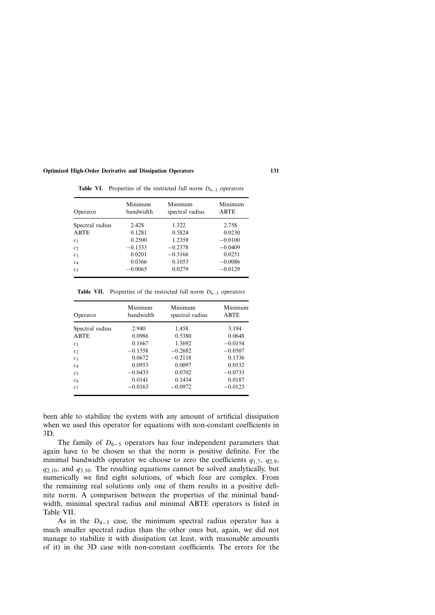| Operator        | Minimum<br>bandwidth | Minimum<br>spectral radius | Minimum<br><b>ABTE</b> |
|-----------------|----------------------|----------------------------|------------------------|
| Spectral radius | 2.428                | 1.322                      | 2.758                  |
| ABTE            | 0.1281               | 0.5824                     | 0.0230                 |
| c <sub>1</sub>  | 0.2500               | 1.2359                     | $-0.0100$              |
| c <sub>2</sub>  | $-0.1333$            | $-0.2378$                  | $-0.0409$              |
| c <sub>3</sub>  | 0.0201               | $-0.3166$                  | 0.0251                 |
| c <sub>4</sub>  | 0.0366               | 0.1053                     | $-0.0086$              |
| c <sub>5</sub>  | $-0.0065$            | 0.0279                     | $-0.0129$              |

**Table VI.** Properties of the restricted full norm *D*4−<sup>3</sup> operators

**Table VII.** Properties of the restricted full norm *D*6−<sup>5</sup> operators

| Operator        | Minimum<br>bandwidth | Minimum<br>spectral radius | Minimum<br><b>ABTE</b> |
|-----------------|----------------------|----------------------------|------------------------|
| Spectral radius | 2.940                | 1.458                      | 3.194                  |
| <b>ABTE</b>     | 0.0986               | 0.5380                     | 0.0648                 |
| c <sub>1</sub>  | 0.1667               | 1.3692                     | $-0.0154$              |
| c <sub>2</sub>  | $-0.1558$            | $-0.2682$                  | $-0.0507$              |
| $c_3$           | 0.0672               | $-0.2118$                  | 0.1336                 |
| c <sub>4</sub>  | 0.0953               | 0.0097                     | 0.0532                 |
| c <sub>5</sub>  | $-0.0433$            | 0.0702                     | $-0.0733$              |
| c <sub>6</sub>  | 0.0141               | 0.1434                     | 0.0187                 |
| C <sub>7</sub>  | $-0.0163$            | $-0.0972$                  | $-0.0123$              |

been able to stabilize the system with any amount of artificial dissipation when we used this operator for equations with non-constant coefficients in 3D.

The family of  $D_{6-5}$  operators has four independent parameters that again have to be chosen so that the norm is positive definite. For the minimal bandwidth operator we choose to zero the coefficients  $q_{1,7}$ ,  $q_{2,9}$ , *q*2*,*10, and *q*3*,*10. The resulting equations cannot be solved analytically, but numerically we find eight solutions, of which four are complex. From the remaining real solutions only one of them results in a positive definite norm. A comparison between the properties of the minimal bandwidth, minimal spectral radius and minimal ABTE operators is listed in Table VII.

As in the *D*4−<sup>3</sup> case, the minimum spectral radius operator has a much smaller spectral radius than the other ones but, again, we did not manage to stabilize it with dissipation (at least, with reasonable amounts of it) in the 3D case with non-constant coefficients. The errors for the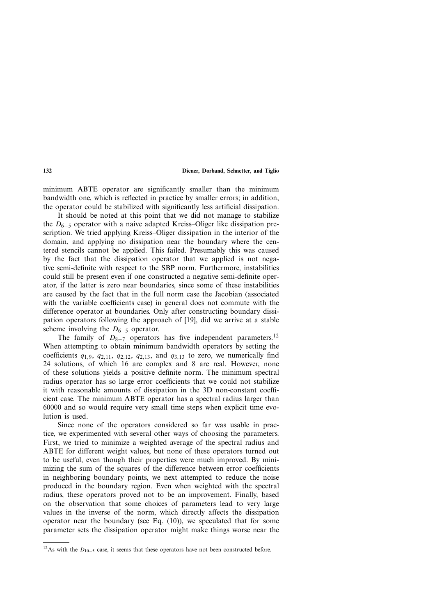minimum ABTE operator are significantly smaller than the minimum bandwidth one, which is reflected in practice by smaller errors; in addition, the operator could be stabilized with significantly less artificial dissipation.

It should be noted at this point that we did not manage to stabilize the *D*6−<sup>5</sup> operator with a naive adapted Kreiss–Oliger like dissipation prescription. We tried applying Kreiss–Oliger dissipation in the interior of the domain, and applying no dissipation near the boundary where the centered stencils cannot be applied. This failed. Presumably this was caused by the fact that the dissipation operator that we applied is not negative semi-definite with respect to the SBP norm. Furthermore, instabilities could still be present even if one constructed a negative semi-definite operator, if the latter is zero near boundaries, since some of these instabilities are caused by the fact that in the full norm case the Jacobian (associated with the variable coefficients case) in general does not commute with the difference operator at boundaries. Only after constructing boundary dissipation operators following the approach of [19], did we arrive at a stable scheme involving the  $D_{6-5}$  operator.

The family of  $D_{8-7}$  operators has five independent parameters.<sup>12</sup> When attempting to obtain minimum bandwidth operators by setting the coefficients  $q_1$ <sub>9</sub>,  $q_2$ <sub>,11</sub>,  $q_2$ <sub>,12</sub>,  $q_2$ <sub>,13</sub>, and  $q_3$ <sub>,13</sub> to zero, we numerically find 24 solutions, of which 16 are complex and 8 are real. However, none of these solutions yields a positive definite norm. The minimum spectral radius operator has so large error coefficients that we could not stabilize it with reasonable amounts of dissipation in the 3D non-constant coefficient case. The minimum ABTE operator has a spectral radius larger than 60000 and so would require very small time steps when explicit time evolution is used.

Since none of the operators considered so far was usable in practice, we experimented with several other ways of choosing the parameters. First, we tried to minimize a weighted average of the spectral radius and ABTE for different weight values, but none of these operators turned out to be useful, even though their properties were much improved. By minimizing the sum of the squares of the difference between error coefficients in neighboring boundary points, we next attempted to reduce the noise produced in the boundary region. Even when weighted with the spectral radius, these operators proved not to be an improvement. Finally, based on the observation that some choices of parameters lead to very large values in the inverse of the norm, which directly affects the dissipation operator near the boundary (see Eq.  $(10)$ ), we speculated that for some parameter sets the dissipation operator might make things worse near the

<sup>&</sup>lt;sup>12</sup>As with the *D*<sub>10−5</sub> case, it seems that these operators have not been constructed before.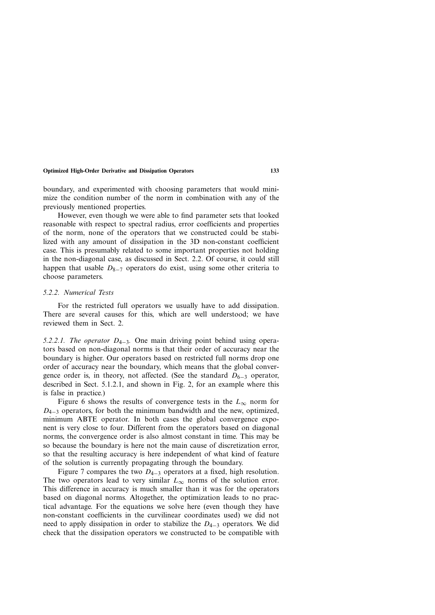boundary, and experimented with choosing parameters that would minimize the condition number of the norm in combination with any of the previously mentioned properties.

However, even though we were able to find parameter sets that looked reasonable with respect to spectral radius, error coefficients and properties of the norm, none of the operators that we constructed could be stabilized with any amount of dissipation in the 3D non-constant coefficient case. This is presumably related to some important properties not holding in the non-diagonal case, as discussed in Sect. 2.2. Of course, it could still happen that usable *D*<sub>8−7</sub> operators do exist, using some other criteria to choose parameters.

#### *5.2.2. Numerical Tests*

For the restricted full operators we usually have to add dissipation. There are several causes for this, which are well understood; we have reviewed them in Sect. 2.

*5.2.2.1. The operator D*<sub>4−3</sub>. One main driving point behind using operators based on non-diagonal norms is that their order of accuracy near the boundary is higher. Our operators based on restricted full norms drop one order of accuracy near the boundary, which means that the global convergence order is, in theory, not affected. (See the standard *D*<sub>6−3</sub> operator, described in Sect. 5.1.2.1, and shown in Fig. 2, for an example where this is false in practice.)

Figure 6 shows the results of convergence tests in the  $L_{\infty}$  norm for *D*<sub>4−3</sub> operators, for both the minimum bandwidth and the new, optimized, minimum ABTE operator. In both cases the global convergence exponent is very close to four. Different from the operators based on diagonal norms, the convergence order is also almost constant in time. This may be so because the boundary is here not the main cause of discretization error, so that the resulting accuracy is here independent of what kind of feature of the solution is currently propagating through the boundary.

Figure 7 compares the two *D*4−<sup>3</sup> operators at a fixed, high resolution. The two operators lead to very similar  $L_{\infty}$  norms of the solution error. This difference in accuracy is much smaller than it was for the operators based on diagonal norms. Altogether, the optimization leads to no practical advantage. For the equations we solve here (even though they have non-constant coefficients in the curvilinear coordinates used) we did not need to apply dissipation in order to stabilize the *D*4−<sup>3</sup> operators. We did check that the dissipation operators we constructed to be compatible with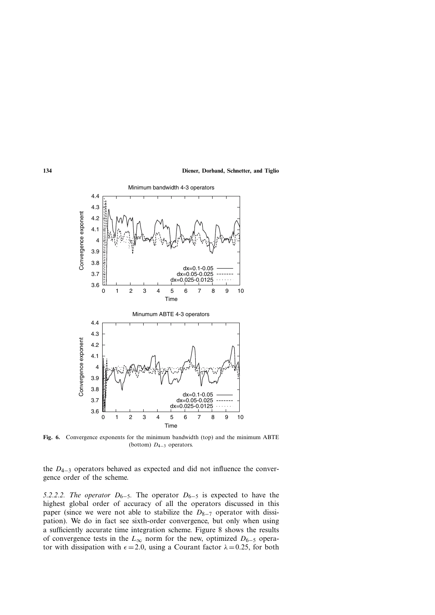

**Fig. 6.** Convergence exponents for the minimum bandwidth (top) and the minimum ABTE (bottom) *D*4−<sup>3</sup> operators.

the *D*4−<sup>3</sup> operators behaved as expected and did not influence the convergence order of the scheme.

*5.2.2.2. The operator*  $D_{6-5}$ . The operator  $D_{6-5}$  is expected to have the highest global order of accuracy of all the operators discussed in this paper (since we were not able to stabilize the *D*<sub>8−7</sub> operator with dissipation). We do in fact see sixth-order convergence, but only when using a sufficiently accurate time integration scheme. Figure 8 shows the results of convergence tests in the *L*<sup>∞</sup> norm for the new, optimized *D*6−<sup>5</sup> operator with dissipation with  $\epsilon = 2.0$ , using a Courant factor  $\lambda = 0.25$ , for both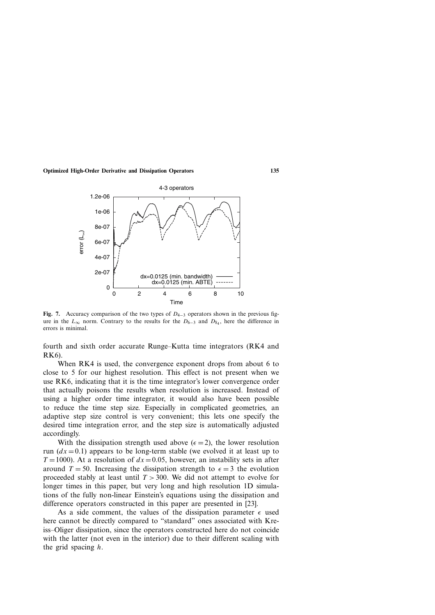

**Fig. 7.** Accuracy comparison of the two types of *D*4−<sup>3</sup> operators shown in the previous figure in the  $L_{\infty}$  norm. Contrary to the results for the  $D_{6-3}$  and  $D_{84}$ , here the difference in errors is minimal.

fourth and sixth order accurate Runge–Kutta time integrators (RK4 and RK6).

When RK4 is used, the convergence exponent drops from about 6 to close to 5 for our highest resolution. This effect is not present when we use RK6, indicating that it is the time integrator's lower convergence order that actually poisons the results when resolution is increased. Instead of using a higher order time integrator, it would also have been possible to reduce the time step size. Especially in complicated geometries, an adaptive step size control is very convenient; this lets one specify the desired time integration error, and the step size is automatically adjusted accordingly.

With the dissipation strength used above  $(\epsilon = 2)$ , the lower resolution run  $(dx = 0.1)$  appears to be long-term stable (we evolved it at least up to  $T = 1000$ ). At a resolution of  $dx = 0.05$ , however, an instability sets in after around  $T = 50$ . Increasing the dissipation strength to  $\epsilon = 3$  the evolution proceeded stably at least until *T >* 300. We did not attempt to evolve for longer times in this paper, but very long and high resolution 1D simulations of the fully non-linear Einstein's equations using the dissipation and difference operators constructed in this paper are presented in [23].

As a side comment, the values of the dissipation parameter  $\epsilon$  used here cannot be directly compared to "standard" ones associated with Kreiss–Oliger dissipation, since the operators constructed here do not coincide with the latter (not even in the interior) due to their different scaling with the grid spacing *h*.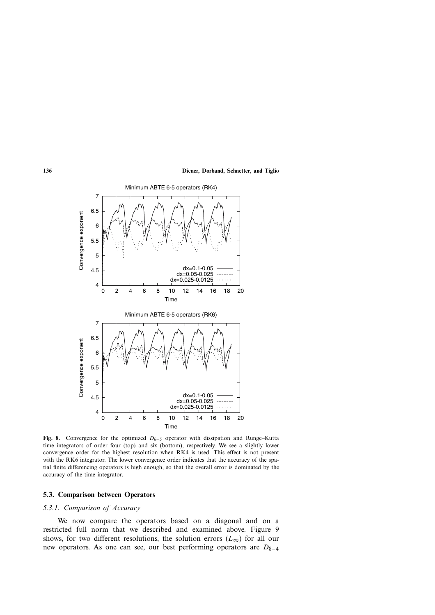

**Fig. 8.** Convergence for the optimized  $D_{6-5}$  operator with dissipation and Runge–Kutta time integrators of order four (top) and six (bottom), respectively. We see a slightly lower convergence order for the highest resolution when RK4 is used. This effect is not present with the RK6 integrator. The lower convergence order indicates that the accuracy of the spatial finite differencing operators is high enough, so that the overall error is dominated by the accuracy of the time integrator.

#### **5.3. Comparison between Operators**

# *5.3.1. Comparison of Accuracy*

We now compare the operators based on a diagonal and on a restricted full norm that we described and examined above. Figure 9 shows, for two different resolutions, the solution errors  $(L_{\infty})$  for all our new operators. As one can see, our best performing operators are *D*<sub>8−4</sub>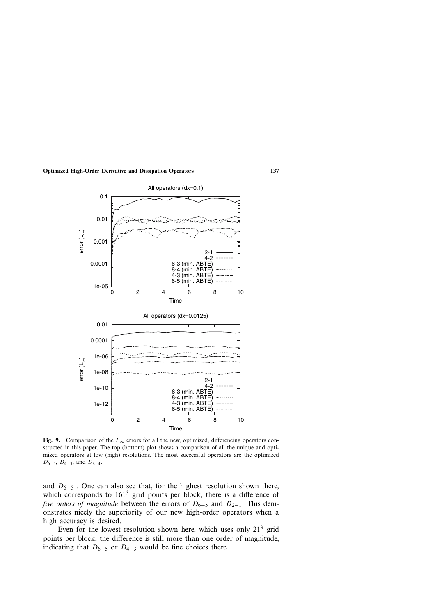

**Fig. 9.** Comparison of the  $L_{\infty}$  errors for all the new, optimized, differencing operators constructed in this paper. The top (bottom) plot shows a comparison of all the unique and optimized operators at low (high) resolutions. The most successful operators are the optimized *D*<sub>6−5</sub>*, D*<sub>4−3</sub>*,* and *D*<sub>8−4</sub>*.* 

and  $D_{6-5}$ . One can also see that, for the highest resolution shown there, which corresponds to  $161<sup>3</sup>$  grid points per block, there is a difference of *five orders of magnitude* between the errors of *D*<sub>6−5</sub> and *D*<sub>2−1</sub>. This demonstrates nicely the superiority of our new high-order operators when a high accuracy is desired.

Even for the lowest resolution shown here, which uses only  $21<sup>3</sup>$  grid points per block, the difference is still more than one order of magnitude, indicating that  $D_{6-5}$  or  $D_{4-3}$  would be fine choices there.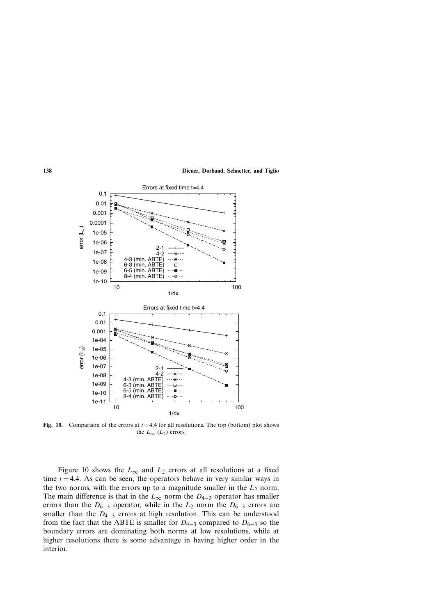

**Fig. 10.** Comparison of the errors at  $t = 4.4$  for all resolutions. The top (bottom) plot shows the  $L_{\infty}$  ( $L_2$ ) errors.

Figure 10 shows the  $L_{\infty}$  and  $L_2$  errors at all resolutions at a fixed time  $t = 4.4$ . As can be seen, the operators behave in very similar ways in the two norms, with the errors up to a magnitude smaller in the  $L_2$  norm. The main difference is that in the  $L_{\infty}$  norm the  $D_{4-3}$  operator has smaller errors than the  $D_{6-3}$  operator, while in the  $L_2$  norm the  $D_{6-3}$  errors are smaller than the  $D_{4-3}$  errors at high resolution. This can be understood from the fact that the ABTE is smaller for  $D_{4-3}$  compared to  $D_{6-3}$  so the boundary errors are dominating both norms at low resolutions, while at higher resolutions there is some advantage in having higher order in the interior.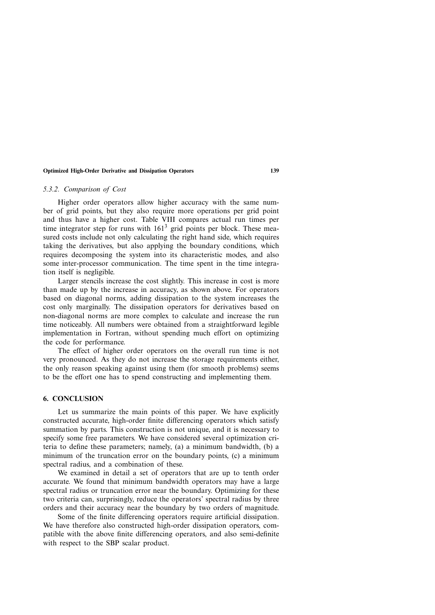#### *5.3.2. Comparison of Cost*

Higher order operators allow higher accuracy with the same number of grid points, but they also require more operations per grid point and thus have a higher cost. Table VIII compares actual run times per time integrator step for runs with  $161<sup>3</sup>$  grid points per block. These measured costs include not only calculating the right hand side, which requires taking the derivatives, but also applying the boundary conditions, which requires decomposing the system into its characteristic modes, and also some inter-processor communication. The time spent in the time integration itself is negligible.

Larger stencils increase the cost slightly. This increase in cost is more than made up by the increase in accuracy, as shown above. For operators based on diagonal norms, adding dissipation to the system increases the cost only marginally. The dissipation operators for derivatives based on non-diagonal norms are more complex to calculate and increase the run time noticeably. All numbers were obtained from a straightforward legible implementation in Fortran, without spending much effort on optimizing the code for performance.

The effect of higher order operators on the overall run time is not very pronounced. As they do not increase the storage requirements either, the only reason speaking against using them (for smooth problems) seems to be the effort one has to spend constructing and implementing them.

# **6. CONCLUSION**

Let us summarize the main points of this paper. We have explicitly constructed accurate, high-order finite differencing operators which satisfy summation by parts. This construction is not unique, and it is necessary to specify some free parameters. We have considered several optimization criteria to define these parameters; namely, (a) a minimum bandwidth, (b) a minimum of the truncation error on the boundary points, (c) a minimum spectral radius, and a combination of these.

We examined in detail a set of operators that are up to tenth order accurate. We found that minimum bandwidth operators may have a large spectral radius or truncation error near the boundary. Optimizing for these two criteria can, surprisingly, reduce the operators' spectral radius by three orders and their accuracy near the boundary by two orders of magnitude.

Some of the finite differencing operators require artificial dissipation. We have therefore also constructed high-order dissipation operators, compatible with the above finite differencing operators, and also semi-definite with respect to the SBP scalar product.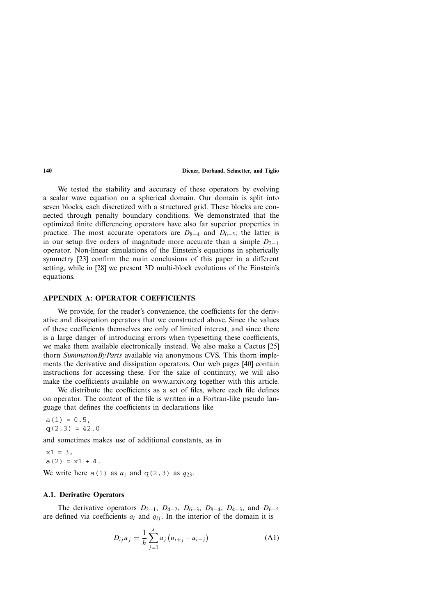We tested the stability and accuracy of these operators by evolving a scalar wave equation on a spherical domain. Our domain is split into seven blocks, each discretized with a structured grid. These blocks are connected through penalty boundary conditions. We demonstrated that the optimized finite differencing operators have also far superior properties in practice. The most accurate operators are  $D_{8-4}$  and  $D_{6-5}$ ; the latter is in our setup five orders of magnitude more accurate than a simple  $D_{2-1}$ operator. Non-linear simulations of the Einstein's equations in spherically symmetry [23] confirm the main conclusions of this paper in a different setting, while in [28] we present 3D multi-block evolutions of the Einstein's equations.

## **APPENDIX A: OPERATOR COEFFICIENTS**

We provide, for the reader's convenience, the coefficients for the derivative and dissipation operators that we constructed above. Since the values of these coefficients themselves are only of limited interest, and since there is a large danger of introducing errors when typesetting these coefficients, we make them available electronically instead. We also make a Cactus [25] thorn *SummationByParts* available via anonymous CVS. This thorn implements the derivative and dissipation operators. Our web pages [40] contain instructions for accessing these. For the sake of continuity, we will also make the coefficients available on www.arxiv.org together with this article.

We distribute the coefficients as a set of files, where each file defines on operator. The content of the file is written in a Fortran-like pseudo language that defines the coefficients in declarations like

 $a(1) = 0.5,$ <br> $q(2,3) = 42.0$  $\frac{1}{2}$ ,  $\frac{3}{2}$ ,  $\frac{2}{2}$ ,  $\frac{3}{2}$ ,  $\frac{3}{2}$ 

and sometimes makes use of additional constants, as in

 $x1 = 3$ ,<br>a(2) =  $x1 + 4$ .

We write here  $a(1)$  as  $a_1$  and  $q(2,3)$  as  $q_{23}$ .

# **A.1. Derivative Operators**

The derivative operators  $D_{2-1}$ ,  $D_{4-2}$ ,  $D_{6-3}$ ,  $D_{8-4}$ ,  $D_{4-3}$ , and  $D_{6-5}$ are defined via coefficients  $a_i$  and  $q_{ij}$ . In the interior of the domain it is

$$
D_{ij}u_j = \frac{1}{h} \sum_{j=1}^{s} a_j (u_{i+j} - u_{i-j})
$$
 (A1)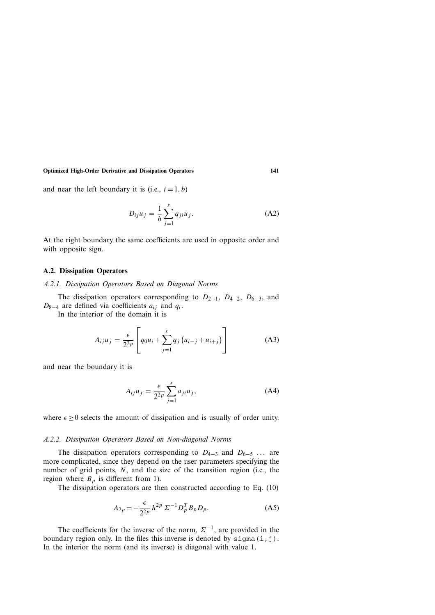and near the left boundary it is (i.e.,  $i = 1, b$ )

$$
D_{ij}u_j = \frac{1}{h} \sum_{j=1}^{s} q_{ji}u_j.
$$
 (A2)

At the right boundary the same coefficients are used in opposite order and with opposite sign.

#### **A.2. Dissipation Operators**

#### *A.2.1. Dissipation Operators Based on Diagonal Norms*

The dissipation operators corresponding to *D*2<sup>−</sup>1, *D*4<sup>−</sup>2, *D*6<sup>−</sup>3, and *D*8−<sup>4</sup> are defined via coefficients *aij* and *qi*.

In the interior of the domain it is

$$
A_{ij}u_j = \frac{\epsilon}{2^{2p}} \left[ q_0 u_i + \sum_{j=1}^s q_j (u_{i-j} + u_{i+j}) \right]
$$
 (A3)

and near the boundary it is

$$
A_{ij}u_j = \frac{\epsilon}{2^{2p}} \sum_{j=1}^s a_{ji}u_j,
$$
 (A4)

where  $\epsilon \geq 0$  selects the amount of dissipation and is usually of order unity.

#### *A.2.2. Dissipation Operators Based on Non-diagonal Norms*

The dissipation operators corresponding to *D*4−<sup>3</sup> and *D*6−<sup>5</sup> *...* are more complicated, since they depend on the user parameters specifying the number of grid points, *N*, and the size of the transition region (i.e., the region where  $B_p$  is different from 1).

The dissipation operators are then constructed according to Eq. (10)

$$
A_{2p} = -\frac{\epsilon}{2^{2p}} h^{2p} \Sigma^{-1} D_p^T B_p D_p.
$$
 (A5)

The coefficients for the inverse of the norm,  $\Sigma^{-1}$ , are provided in the boundary region only. In the files this inverse is denoted by  $\text{sigma}(i,j)$ . In the interior the norm (and its inverse) is diagonal with value 1.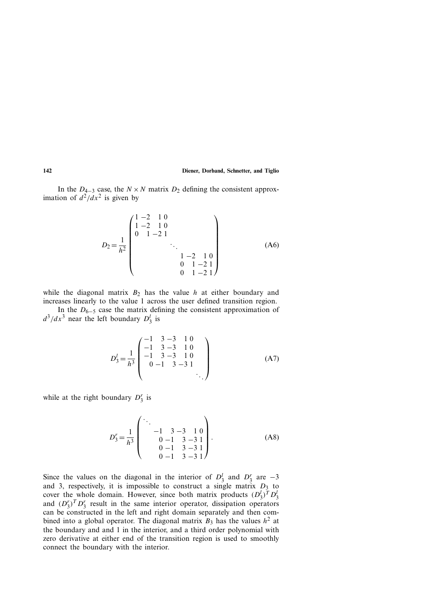In the  $D_{4-3}$  case, the  $N \times N$  matrix  $D_2$  defining the consistent approximation of  $d^2/dx^2$  is given by

$$
D_2 = \frac{1}{h^2} \begin{pmatrix} 1 & -2 & 1 & 0 \\ 1 & -2 & 1 & 0 \\ 0 & 1 & -2 & 1 \\ & & & \ddots & & \\ & & & & 1 & -2 & 1 \\ & & & & 0 & 1 & -2 & 1 \\ & & & & & 0 & 1 & -2 & 1 \end{pmatrix}
$$
 (A6)

while the diagonal matrix  $B_2$  has the value *h* at either boundary and increases linearly to the value 1 across the user defined transition region.

In the  $D_{6-5}$  case the matrix defining the consistent approximation of  $d^3/dx^3$  near the left boundary  $D_3^l$  is

$$
D_3^l = \frac{1}{h^3} \begin{pmatrix} -1 & 3 & -3 & 1 & 0 \\ -1 & 3 & -3 & 1 & 0 \\ -1 & 3 & -3 & 1 & 0 \\ 0 & -1 & 3 & -3 & 1 \\ & & & & & \ddots \end{pmatrix}
$$
 (A7)

while at the right boundary  $D_3^r$  is

$$
D_3^r = \frac{1}{h^3} \begin{pmatrix} \ddots & & & \\ & -1 & 3 & -3 & 1 & 0 \\ & & 0 & -1 & 3 & -3 & 1 \\ & & 0 & -1 & 3 & -3 & 1 \\ & & & 0 & -1 & 3 & -3 & 1 \end{pmatrix} .
$$
 (A8)

Since the values on the diagonal in the interior of  $D_3^l$  and  $D_3^r$  are  $-3$ and 3, respectively, it is impossible to construct a single matrix  $D_3$  to cover the whole domain. However, since both matrix products  $(D_3^l)^T D_3^l$ and  $(D_3^r)^T D_3^r$  result in the same interior operator, dissipation operators can be constructed in the left and right domain separately and then combined into a global operator. The diagonal matrix  $B_3$  has the values  $h^2$  at the boundary and and 1 in the interior, and a third order polynomial with zero derivative at either end of the transition region is used to smoothly connect the boundary with the interior.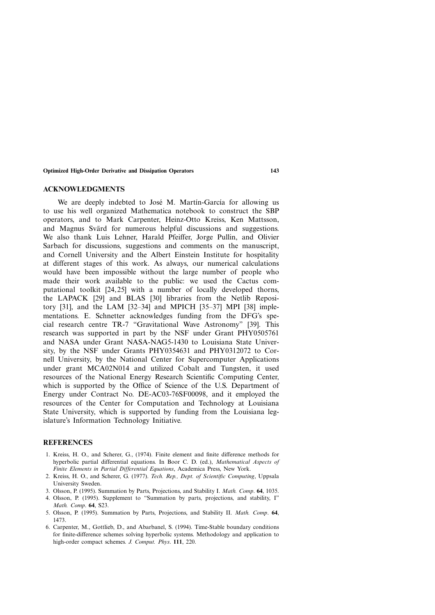#### **ACKNOWLEDGMENTS**

We are deeply indebted to José M. Martín-García for allowing us to use his well organized Mathematica notebook to construct the SBP operators, and to Mark Carpenter, Heinz-Otto Kreiss, Ken Mattsson, and Magnus Svärd for numerous helpful discussions and suggestions. We also thank Luis Lehner, Harald Pfeiffer, Jorge Pullin, and Olivier Sarbach for discussions, suggestions and comments on the manuscript, and Cornell University and the Albert Einstein Institute for hospitality at different stages of this work. As always, our numerical calculations would have been impossible without the large number of people who made their work available to the public: we used the Cactus computational toolkit [24,25] with a number of locally developed thorns, the LAPACK [29] and BLAS [30] libraries from the Netlib Repository [31], and the LAM [32–34] and MPICH [35–37] MPI [38] implementations. E. Schnetter acknowledges funding from the DFG's special research centre TR-7 "Gravitational Wave Astronomy" [39]. This research was supported in part by the NSF under Grant PHY0505761 and NASA under Grant NASA-NAG5-1430 to Louisiana State University, by the NSF under Grants PHY0354631 and PHY0312072 to Cornell University, by the National Center for Supercomputer Applications under grant MCA02N014 and utilized Cobalt and Tungsten, it used resources of the National Energy Research Scientific Computing Center, which is supported by the Office of Science of the U.S. Department of Energy under Contract No. DE-AC03-76SF00098, and it employed the resources of the Center for Computation and Technology at Louisiana State University, which is supported by funding from the Louisiana legislature's Information Technology Initiative.

#### **REFERENCES**

- 1. Kreiss, H. O., and Scherer, G., (1974). Finite element and finite difference methods for hyperbolic partial differential equations. In Boor C. D. (ed.), *Mathematical Aspects of Finite Elements in Partial Differential Equations*, Academica Press, New York.
- 2. Kreiss, H. O., and Scherer, G. (1977). *Tech. Rep., Dept. of Scientific Computing*, Uppsala University Sweden.
- 3. Olsson, P. (1995). Summation by Parts, Projections, and Stability I. *Math. Comp*. **64**, 1035.
- 4. Olsson, P. (1995). Supplement to "Summation by parts, projections, and stability, I" *Math. Comp*. **64**, S23.
- 5. Olsson, P. (1995). Summation by Parts, Projections, and Stability II. *Math. Comp*. **64**, 1473.
- 6. Carpenter, M., Gottlieb, D., and Abarbanel, S. (1994). Time-Stable boundary conditions for finite-difference schemes solving hyperbolic systems. Methodology and application to high-order compact schemes. *J. Comput. Phys*. **111**, 220.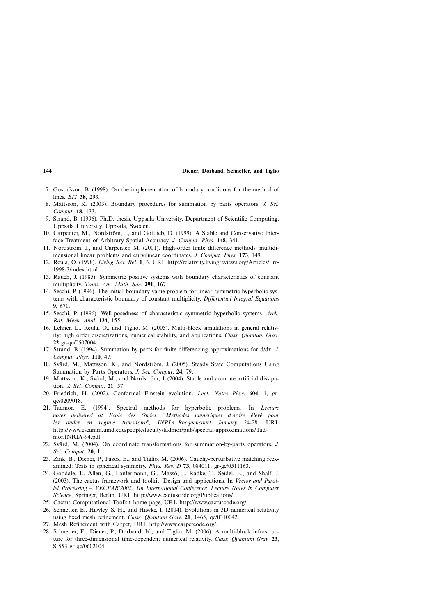- 7. Gustafsson, B. (1998). On the implementation of boundary conditions for the method of lines. *BIT* **38**, 293.
- 8. Mattsson, K. (2003). Boundary procedures for summation by parts operators. *J. Sci. Comput*. **18**, 133.
- 9. Strand, B. (1996). Ph.D. thesis, Uppsala University, Department of Scientific Computing, Uppsala University. Uppsala, Sweden.
- 10. Carpenter, M., Nordström, J., and Gottlieb, D. (1999). A Stable and Conservative Interface Treatment of Arbitrary Spatial Accuracy. *J. Comput. Phys*. **148**, 341.
- 11. Nordström, J., and Carpenter, M. (2001). High-order finite difference methods, multidimensional linear problems and curvilinear coordinates. *J. Comput. Phys*. **173**, 149.
- 12. Reula, O. (1998). *Living Rev. Rel*. **1**, 3. URL http://relativity.livingreviews.org/Articles/ lrr-1998-3/index.html.
- 13. Rauch, J. (1985). Symmetric positive systems with boundary characteristics of constant multiplicity. *Trans. Am. Math. Soc*. **291**, 167
- 14. Secchi, P. (1996). The initial boundary value problem for linear symmetric hyperbolic systems with characteristic boundary of constant multiplicity. *Differential Integral Equations* **9**, 671.
- 15. Secchi, P. (1996). Well-posedness of characteristic symmetric hyperbolic systems. *Arch. Rat. Mech. Anal*. **134**, 155.
- 16. Lehner, L., Reula, O., and Tiglio, M. (2005). Multi-block simulations in general relativity: high order discretizations, numerical stability, and applications. *Class. Quantum Grav*. **22** gr-qc/0507004.
- 17. Strand, B. (1994). Summation by parts for finite differencing approximations for d/dx. *J. Comput. Phys*. **110**, 47.
- 18. Svärd, M., Mattsson, K., and Nordström, J. (2005). Steady State Computations Using Summation by Parts Operators. *J. Sci. Comput*. **24**, 79.
- 19. Mattsson, K., Svärd, M., and Nordström, J. (2004). Stable and accurate artificial dissipation. *J. Sci. Comput*. **21**, 57.
- 20. Friedrich, H. (2002). Conformal Einstein evolution. *Lect. Notes Phys*. **604**, 1, grqc/0209018.
- 21. Tadmor, E. (1994). Spectral methods for hyperbolic problems. In *Lecture notes delivered at Ecole des Ondes, "Methodes num ´ eriques d'ordre ´ elev ´ e pour ´ les ondes en regime transitoire", INRIA–Rocquencourt January ´* 24-28. URL http://www.cscamm.umd.edu/people/faculty/tadmor/pub/spectral-approximations/Tadmor.INRIA-94.pdf.
- 22. Svärd, M. (2004). On coordinate transformations for summation-by-parts operators. *J. Sci. Comput*. **20**, 1.
- 23. Zink, B., Diener, P., Pazos, E., and Tiglio, M. (2006). Cauchy-perturbative matching reexamined: Tests in spherical symmetry. *Phys. Rev. D* **73**, 084011, gr-gc/0511163.
- 24. Goodale, T., Allen, G., Lanfermann, G., Massó, J., Radke, T., Seidel, E., and Shalf, J. (2003). The cactus framework and toolkit: Design and applications. In *Vector and Parallel Processing – VECPAR'2002, 5th International Conference, Lecture Notes in Computer Science*, Springer, Berlin. URL http://www.cactuscode.org/Publications/
- 25. Cactus Computational Toolkit home page, URL http://www.cactuscode.org/
- 26. Schnetter, E., Hawley, S. H., and Hawke, I. (2004). Evolutions in 3D numerical relativity using fixed mesh refinement. *Class. Quantum Grav*. **21**, 1465, qc/0310042.
- 27. Mesh Refinement with Carpet, URL http://www.carpetcode.org/.
- 28. Schnetter, E., Diener, P., Dorband, N., and Tiglio, M. (2006). A multi-block infrastructure for three-dimensional time-dependent numerical relativity. *Class. Quantum Grav.* **23**, S 553 gr-qc/0602104.